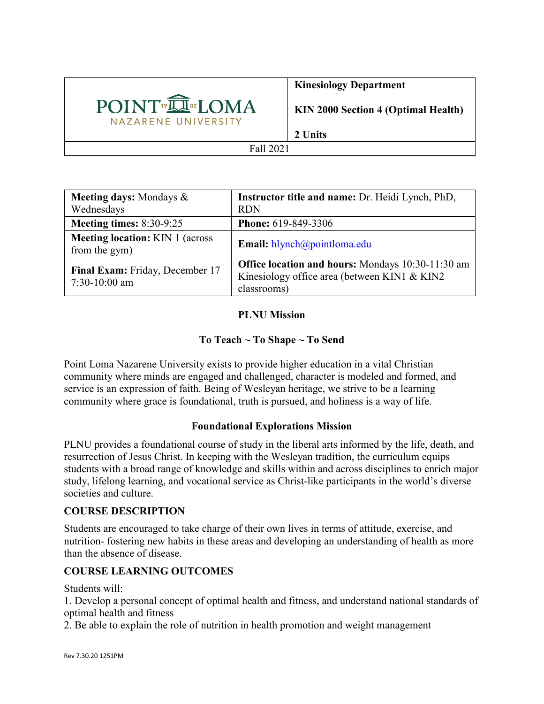

# **Kinesiology Department**

**KIN 2000 Section 4 (Optimal Health)**

**2 Units**

#### Fall 2021

| <b>Meeting days:</b> Mondays $\&$<br>Wednesdays          | Instructor title and name: Dr. Heidi Lynch, PhD,<br><b>RDN</b>                                                          |
|----------------------------------------------------------|-------------------------------------------------------------------------------------------------------------------------|
| <b>Meeting times: 8:30-9:25</b>                          | <b>Phone: 619-849-3306</b>                                                                                              |
| <b>Meeting location:</b> KIN 1 (across)<br>from the gym) | <b>Email:</b> $hlynch@pointloma.edu$                                                                                    |
| Final Exam: Friday, December 17<br>$7:30-10:00$ am       | <b>Office location and hours:</b> Mondays 10:30-11:30 am<br>Kinesiology office area (between KIN1 & KIN2<br>classrooms) |

# **PLNU Mission**

# **To Teach ~ To Shape ~ To Send**

Point Loma Nazarene University exists to provide higher education in a vital Christian community where minds are engaged and challenged, character is modeled and formed, and service is an expression of faith. Being of Wesleyan heritage, we strive to be a learning community where grace is foundational, truth is pursued, and holiness is a way of life.

### **Foundational Explorations Mission**

PLNU provides a foundational course of study in the liberal arts informed by the life, death, and resurrection of Jesus Christ. In keeping with the Wesleyan tradition, the curriculum equips students with a broad range of knowledge and skills within and across disciplines to enrich major study, lifelong learning, and vocational service as Christ-like participants in the world's diverse societies and culture.

### **COURSE DESCRIPTION**

Students are encouraged to take charge of their own lives in terms of attitude, exercise, and nutrition- fostering new habits in these areas and developing an understanding of health as more than the absence of disease.

# **COURSE LEARNING OUTCOMES**

Students will:

1. Develop a personal concept of optimal health and fitness, and understand national standards of optimal health and fitness

2. Be able to explain the role of nutrition in health promotion and weight management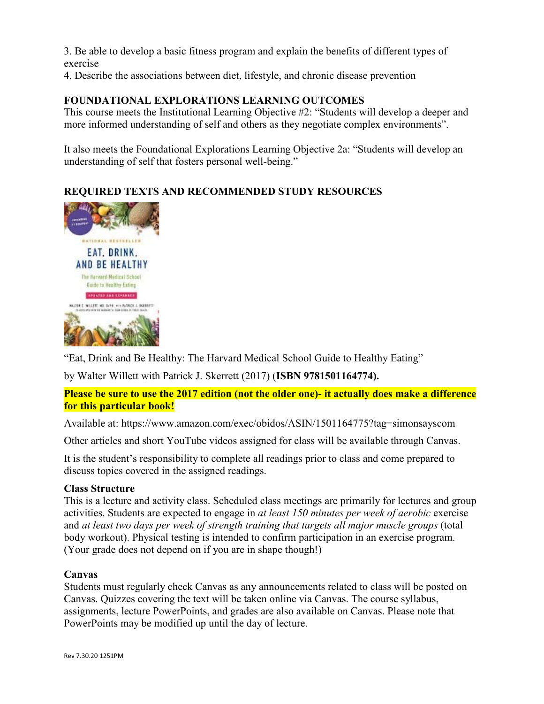3. Be able to develop a basic fitness program and explain the benefits of different types of exercise

4. Describe the associations between diet, lifestyle, and chronic disease prevention

**FOUNDATIONAL EXPLORATIONS LEARNING OUTCOMES**<br>This course meets the Institutional Learning Objective #2: "Students will develop a deeper and more informed understanding of self and others as they negotiate complex environments".

It also meets the Foundational Explorations Learning Objective 2a: "Students will develop an understanding of self that fosters personal well-being."

# **REQUIRED TEXTS AND RECOMMENDED STUDY RESOURCES**



"Eat, Drink and Be Healthy: The Harvard Medical School Guide to Healthy Eating"

by Walter Willett with Patrick J. Skerrett (2017) (**ISBN 9781501164774).**

**Please be sure to use the 2017 edition (not the older one)- it actually does make a difference for this particular book!**

Available at: https://www.amazon.com/exec/obidos/ASIN/1501164775?tag=simonsayscom

Other articles and short YouTube videos assigned for class will be available through Canvas.

It is the student's responsibility to complete all readings prior to class and come prepared to discuss topics covered in the assigned readings.

### **Class Structure**

This is a lecture and activity class. Scheduled class meetings are primarily for lectures and group activities. Students are expected to engage in *at least 150 minutes per week of aerobic* exercise and *at least two days per week of strength training that targets all major muscle groups* (total body workout). Physical testing is intended to confirm participation in an exercise program. (Your grade does not depend on if you are in shape though!)

### **Canvas**

Students must regularly check Canvas as any announcements related to class will be posted on Canvas. Quizzes covering the text will be taken online via Canvas. The course syllabus, assignments, lecture PowerPoints, and grades are also available on Canvas. Please note that PowerPoints may be modified up until the day of lecture.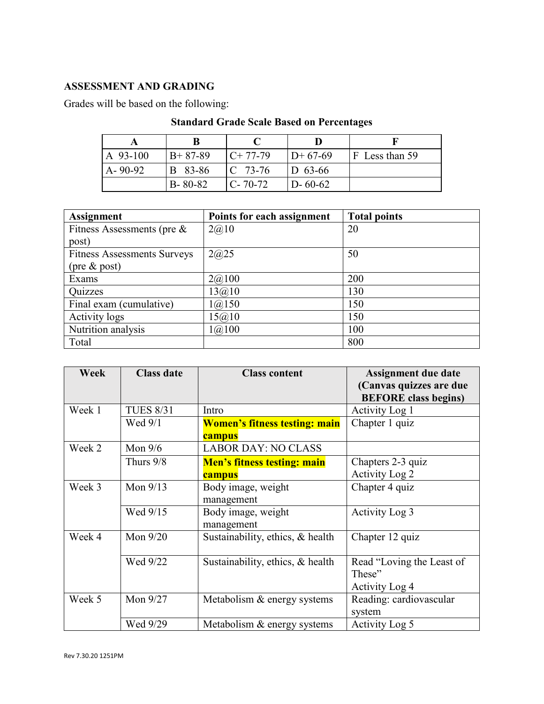# **ASSESSMENT AND GRADING**

Grades will be based on the following:

| A 93-100      | $B+87-89$     | $C+77-79$        | $D+67-69$   | $ F $ Less than 59 |
|---------------|---------------|------------------|-------------|--------------------|
| $A - 90 - 92$ | B 83-86       | $\sqrt{C}$ 73-76 | $D_{63-66}$ |                    |
|               | $B - 80 - 82$ | $C - 70 - 72$    | $ D-60-62 $ |                    |

# **Standard Grade Scale Based on Percentages**

| <b>Assignment</b>                  | Points for each assignment | <b>Total points</b> |
|------------------------------------|----------------------------|---------------------|
| Fitness Assessments (pre $\&$      | 2@10                       | 20                  |
| post)                              |                            |                     |
| <b>Fitness Assessments Surveys</b> | 2@25                       | 50                  |
| $(\text{pre} \& \text{post})$      |                            |                     |
| Exams                              | 2(a)100                    | 200                 |
| Quizzes                            | 13@10                      | 130                 |
| Final exam (cumulative)            | 1(a)150                    | 150                 |
| <b>Activity logs</b>               | 15@10                      | 150                 |
| Nutrition analysis                 | 1(a)100                    | 100                 |
| Total                              |                            | 800                 |

| Week   | <b>Class date</b> | <b>Class content</b>                           | Assignment due date                                    |
|--------|-------------------|------------------------------------------------|--------------------------------------------------------|
|        |                   |                                                | (Canvas quizzes are due<br><b>BEFORE</b> class begins) |
| Week 1 | <b>TUES 8/31</b>  | Intro                                          | Activity Log 1                                         |
|        | Wed 9/1           | <b>Women's fitness testing: main</b><br>campus | Chapter 1 quiz                                         |
| Week 2 | Mon $9/6$         | <b>LABOR DAY: NO CLASS</b>                     |                                                        |
|        | Thurs 9/8         | Men's fitness testing: main<br>campus          | Chapters 2-3 quiz<br>Activity Log 2                    |
| Week 3 | Mon 9/13          | Body image, weight<br>management               | Chapter 4 quiz                                         |
|        | Wed 9/15          | Body image, weight<br>management               | Activity Log 3                                         |
| Week 4 | Mon $9/20$        | Sustainability, ethics, & health               | Chapter 12 quiz                                        |
|        | Wed 9/22          | Sustainability, ethics, & health               | Read "Loving the Least of<br>These"<br>Activity Log 4  |
| Week 5 | Mon 9/27          | Metabolism & energy systems                    | Reading: cardiovascular<br>system                      |
|        | Wed 9/29          | Metabolism & energy systems                    | Activity Log 5                                         |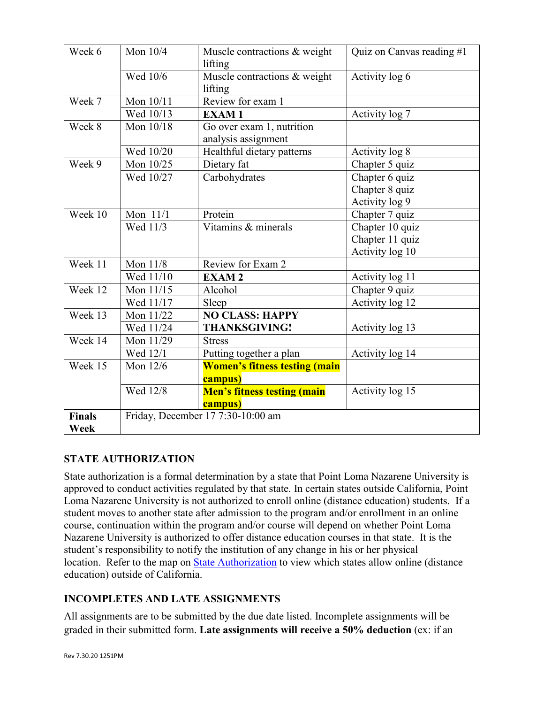| Week 6                | Mon 10/4  | Muscle contractions & weight<br>lifting          | Quiz on Canvas reading #1 |
|-----------------------|-----------|--------------------------------------------------|---------------------------|
|                       | Wed 10/6  | Muscle contractions & weight<br>lifting          | Activity log 6            |
| Week 7                | Mon 10/11 | Review for exam 1                                |                           |
|                       | Wed 10/13 | <b>EXAM1</b>                                     | Activity log 7            |
| Week 8                | Mon 10/18 | Go over exam 1, nutrition<br>analysis assignment |                           |
|                       | Wed 10/20 | Healthful dietary patterns                       | Activity log 8            |
| Week 9                | Mon 10/25 | Dietary fat                                      | Chapter 5 quiz            |
|                       | Wed 10/27 | Carbohydrates                                    | Chapter 6 quiz            |
|                       |           |                                                  | Chapter 8 quiz            |
|                       |           |                                                  | Activity log 9            |
| Week 10               | Mon 11/1  | Protein                                          | Chapter 7 quiz            |
|                       | Wed 11/3  | Vitamins & minerals                              | Chapter 10 quiz           |
|                       |           |                                                  | Chapter 11 quiz           |
|                       |           |                                                  | Activity log 10           |
| Week 11               | Mon 11/8  | Review for Exam 2                                |                           |
|                       | Wed 11/10 | <b>EXAM2</b>                                     | Activity log 11           |
| Week 12               | Mon 11/15 | Alcohol                                          | Chapter 9 quiz            |
|                       | Wed 11/17 | Sleep                                            | Activity log 12           |
| Week 13               | Mon 11/22 | <b>NO CLASS: HAPPY</b>                           |                           |
|                       | Wed 11/24 | <b>THANKSGIVING!</b>                             | Activity log 13           |
| Week 14               | Mon 11/29 | <b>Stress</b>                                    |                           |
|                       | Wed 12/1  | Putting together a plan                          | Activity log 14           |
| Week 15               | Mon 12/6  | <b>Women's fitness testing (main</b><br>campus)  |                           |
|                       | Wed 12/8  | <b>Men's fitness testing (main</b><br>campus)    | Activity log 15           |
| <b>Finals</b><br>Week |           | Friday, December 17 7:30-10:00 am                |                           |

# **STATE AUTHORIZATION**

State authorization is a formal determination by a state that Point Loma Nazarene University is approved to conduct activities regulated by that state. In certain states outside California, Point Loma Nazarene University is not authorized to enroll online (distance education) students. If a student moves to another state after admission to the program and/or enrollment in an online course, continuation within the program and/or course will depend on whether Point Loma Nazarene University is authorized to offer distance education courses in that state. It is the student's responsibility to notify the institution of any change in his or her physical location. Refer to the map on [State Authorization](https://www.pointloma.edu/offices/office-institutional-effectiveness-research/disclosures) to view which states allow online (distance education) outside of California.

# **INCOMPLETES AND LATE ASSIGNMENTS**

All assignments are to be submitted by the due date listed. Incomplete assignments will be graded in their submitted form. **Late assignments will receive a 50% deduction** (ex: if an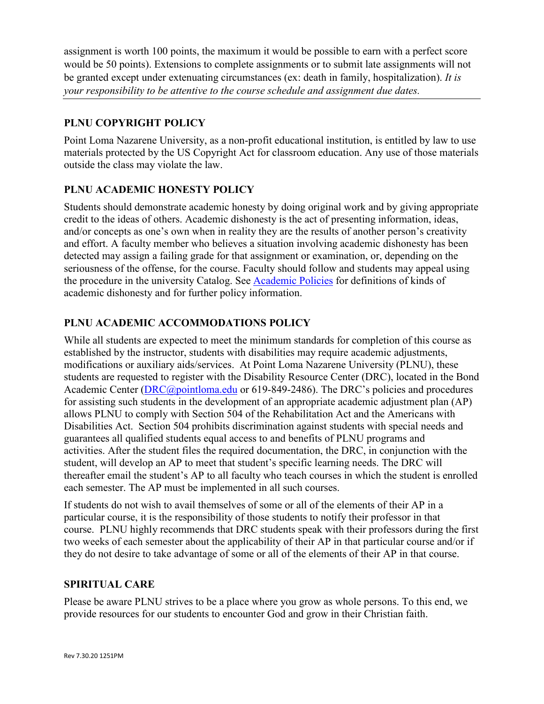assignment is worth 100 points, the maximum it would be possible to earn with a perfect score would be 50 points). Extensions to complete assignments or to submit late assignments will not be granted except under extenuating circumstances (ex: death in family, hospitalization). *It is your responsibility to be attentive to the course schedule and assignment due dates.*

# **PLNU COPYRIGHT POLICY**

Point Loma Nazarene University, as a non-profit educational institution, is entitled by law to use materials protected by the US Copyright Act for classroom education. Any use of those materials outside the class may violate the law.

# **PLNU ACADEMIC HONESTY POLICY**

Students should demonstrate academic honesty by doing original work and by giving appropriate credit to the ideas of others. Academic dishonesty is the act of presenting information, ideas, and/or concepts as one's own when in reality they are the results of another person's creativity and effort. A faculty member who believes a situation involving academic dishonesty has been detected may assign a failing grade for that assignment or examination, or, depending on the seriousness of the offense, for the course. Faculty should follow and students may appeal using the procedure in the university Catalog. See [Academic Policies](https://catalog.pointloma.edu/content.php?catoid=41&navoid=2435#Academic_Honesty) for definitions of kinds of academic dishonesty and for further policy information.

# **PLNU ACADEMIC ACCOMMODATIONS POLICY**

While all students are expected to meet the minimum standards for completion of this course as established by the instructor, students with disabilities may require academic adjustments, modifications or auxiliary aids/services. At Point Loma Nazarene University (PLNU), these students are requested to register with the Disability Resource Center (DRC), located in the Bond Academic Center [\(DRC@pointloma.edu](mailto:DRC@pointloma.edu) or 619-849-2486). The DRC's policies and procedures for assisting such students in the development of an appropriate academic adjustment plan (AP) allows PLNU to comply with Section 504 of the Rehabilitation Act and the Americans with Disabilities Act. Section 504 prohibits discrimination against students with special needs and guarantees all qualified students equal access to and benefits of PLNU programs and activities. After the student files the required documentation, the DRC, in conjunction with the student, will develop an AP to meet that student's specific learning needs. The DRC will thereafter email the student's AP to all faculty who teach courses in which the student is enrolled each semester. The AP must be implemented in all such courses.

If students do not wish to avail themselves of some or all of the elements of their AP in a particular course, it is the responsibility of those students to notify their professor in that course. PLNU highly recommends that DRC students speak with their professors during the first two weeks of each semester about the applicability of their AP in that particular course and/or if they do not desire to take advantage of some or all of the elements of their AP in that course.

# **SPIRITUAL CARE**

Please be aware PLNU strives to be a place where you grow as whole persons. To this end, we provide resources for our students to encounter God and grow in their Christian faith.